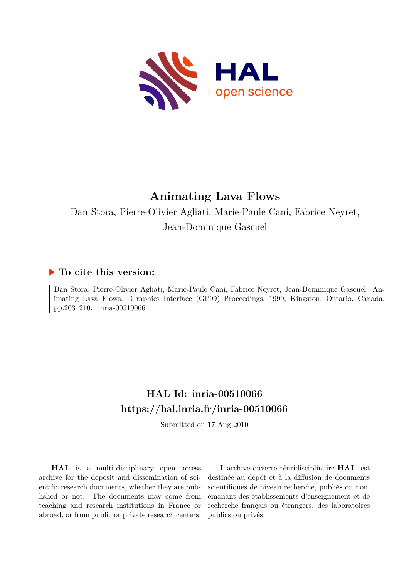

# **Animating Lava Flows**

Dan Stora, Pierre-Olivier Agliati, Marie-Paule Cani, Fabrice Neyret, Jean-Dominique Gascuel

### **To cite this version:**

Dan Stora, Pierre-Olivier Agliati, Marie-Paule Cani, Fabrice Neyret, Jean-Dominique Gascuel. Animating Lava Flows. Graphics Interface (GI'99) Proceedings, 1999, Kingston, Ontario, Canada. pp.203-210. inria-00510066

## **HAL Id: inria-00510066 <https://hal.inria.fr/inria-00510066>**

Submitted on 17 Aug 2010

**HAL** is a multi-disciplinary open access archive for the deposit and dissemination of scientific research documents, whether they are published or not. The documents may come from teaching and research institutions in France or abroad, or from public or private research centers.

L'archive ouverte pluridisciplinaire **HAL**, est destinée au dépôt et à la diffusion de documents scientifiques de niveau recherche, publiés ou non, émanant des établissements d'enseignement et de recherche français ou étrangers, des laboratoires publics ou privés.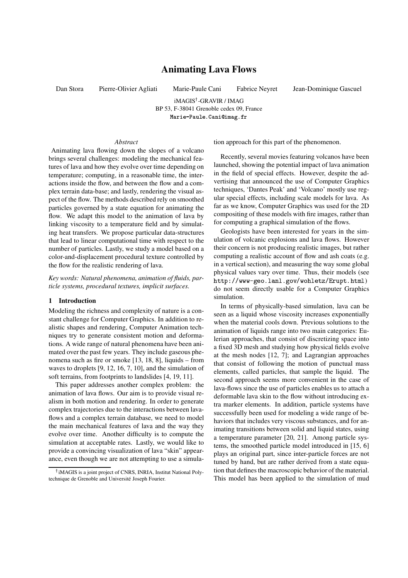### **Animating Lava Flows**

Dan Stora Pierre-Olivier Agliati Marie-Paule Cani Fabrice Neyret Jean-Dominique Gascuel

iMAGIS†-GRAVIR / IMAG BP 53, F-38041 Grenoble cedex 09, France - - - -

#### *Abstract*

Animating lava flowing down the slopes of a volcano brings several challenges: modeling the mechanical features of lava and how they evolve over time depending on temperature; computing, in a reasonable time, the interactions inside the flow, and between the flow and a complex terrain data-base; and lastly, rendering the visual aspect of the flow. The methods described rely on smoothed particles governed by a state equation for animating the flow. We adapt this model to the animation of lava by linking viscosity to a temperature field and by simulating heat transfers. We propose particular data-structures that lead to linear computational time with respect to the number of particles. Lastly, we study a model based on a color-and-displacement procedural texture controlled by the flow for the realistic rendering of lava.

*Key words: Natural phenomena, animation of fluids, particle systems, procedural textures, implicit surfaces.*

#### **1 Introduction**

Modeling the richness and complexity of nature is a constant challenge for Computer Graphics. In addition to realistic shapes and rendering, Computer Animation techniques try to generate consistent motion and deformations. A wide range of natural phenomena have been animated over the past few years. They include gaseous phenomena such as fire or smoke [13, 18, 8], liquids – from waves to droplets [9, 12, 16, 7, 10], and the simulation of soft terrains, from footprints to landslides [4, 19, 11].

This paper addresses another complex problem: the animation of lava flows. Our aim is to provide visual realism in both motion and rendering. In order to generate complex trajectories due to the interactions between lavaflows and a complex terrain database, we need to model the main mechanical features of lava and the way they evolve over time. Another difficulty is to compute the simulation at acceptable rates. Lastly, we would like to provide a convincing visualization of lava "skin" appearance, even though we are not attempting to use a simulation approach for this part of the phenomenon.

Recently, several movies featuring volcanos have been launched, showing the potential impact of lava animation in the field of special effects. However, despite the advertising that announced the use of Computer Graphics techniques, 'Dantes Peak' and 'Volcano' mostly use regular special effects, including scale models for lava. As far as we know, Computer Graphics was used for the 2D compositing of these models with fire images, rather than for computing a graphical simulation of the flows.

Geologists have been interested for years in the simulation of volcanic explosions and lava flows. However their concern is not producing realistic images, but rather computing a realistic account of flow and ash coats (e.g. in a vertical section), and measuring the way some global physical values vary over time. Thus, their models (see http://www-geo.lanl.gov/wohletz/Erupt.html) do not seem directly usable for a Computer Graphics simulation.

In terms of physically-based simulation, lava can be seen as a liquid whose viscosity increases exponentially when the material cools down. Previous solutions to the animation of liquids range into two main categories: Eulerian approaches, that consist of discretizing space into a fixed 3D mesh and studying how physical fields evolve at the mesh nodes [12, 7]; and Lagrangian approaches that consist of following the motion of punctual mass elements, called particles, that sample the liquid. The second approach seems more convenient in the case of lava-flows since the use of particles enables us to attach a deformable lava skin to the flow without introducing extra marker elements. In addition, particle systems have successfully been used for modeling a wide range of behaviors that includes very viscous substances, and for animating transitions between solid and liquid states, using a temperature parameter [20, 21]. Among particle systems, the smoothed particle model introduced in [15, 6] plays an original part, since inter-particle forces are not tuned by hand, but are rather derived from a state equation that defines the macroscopic behavior of the material. This model has been applied to the simulation of mud

iMAGIS is a joint project of CNRS, INRIA, Institut National Polytechnique de Grenoble and Université Joseph Fourier.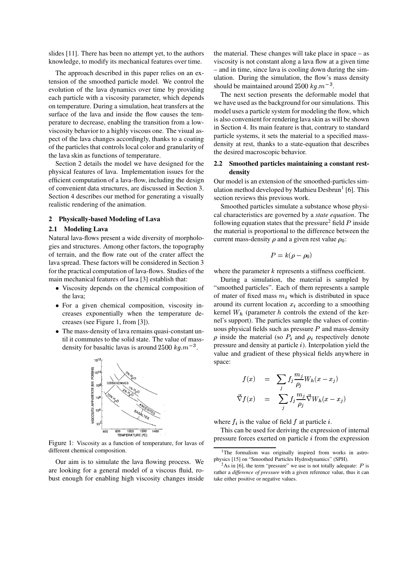slides [11]. There has been no attempt yet, to the authors knowledge, to modify its mechanical features over time.

The approach described in this paper relies on an extension of the smoothed particle model. We control the evolution of the lava dynamics over time by providing each particle with a viscosity parameter, which depends on temperature. During a simulation, heat transfers at the surface of the lava and inside the flow causes the temperature to decrease, enabling the transition from a lowviscosity behavior to a highly viscous one. The visual aspect of the lava changes accordingly, thanks to a coating of the particles that controls local color and granularity of the lava skin as functions of temperature.

Section 2 details the model we have designed for the physical features of lava. Implementation issues for the efficient computation of a lava-flow, including the design of convenient data structures, are discussed in Section 3. Section 4 describes our method for generating a visually realistic rendering of the animation.

#### **2 Physically-based Modeling of Lava**

#### **2.1 Modeling Lava**

Natural lava-flows present a wide diversity of morphologies and structures. Among other factors, the topography of terrain, and the flow rate out of the crater affect the lava spread. These factors will be considered in Section 3 for the practical computation of lava-flows. Studies of the main mechanical features of lava [3] establish that:

- ? Viscosity depends on the chemical composition of the lava;
- ? For a given chemical composition, viscosity increases exponentially when the temperature decreases (see Figure 1, from [3]).
- ? The mass-density of lava remains quasi-constant until it commutes to the solid state. The value of massdensity for basaltic lavas is around  $2500 \ kg.m^{-3}$ .



Figure 1: Viscosity as a function of temperature, for lavas of different chemical composition.

Our aim is to simulate the lava flowing process. We are looking for a general model of a viscous fluid, robust enough for enabling high viscosity changes inside the material. These changes will take place in space – as viscosity is not constant along a lava flow at a given time – and in time, since lava is cooling down during the simulation. During the simulation, the flow's mass density should be maintained around  $2500 \ kg.m^{-3}$ .

The next section presents the deformable model that we have used as the background for our simulations. This model uses a particle system for modeling the flow, which is also convenient for rendering lava skin as will be shown in Section 4. Its main feature is that, contrary to standard particle systems, it sets the material to a specified massdensity at rest, thanks to a state-equation that describes the desired macroscopic behavior.

#### **2.2 Smoothed particles maintaining a constant restdensity**

Our model is an extension of the smoothed-particles simulation method developed by Mathieu Desbrun<sup>1</sup> [6]. This section reviews this previous work.

Smoothed particles simulate a substance whose physical characteristics are governed by a *state equation*. The following equation states that the pressure<sup>2</sup> field  $P$  inside the material is proportional to the difference between the current mass-density  $\rho$  and a given rest value  $\rho_0$ :

$$
P=k(\rho-\rho_0)
$$

where the parameter  $k$  represents a stiffness coefficient.

During a simulation, the material is sampled by "smoothed particles". Each of them represents a sample of mater of fixed mass  $m_i$  which is distributed in space around its current location  $x_i$  according to a smoothing kernel  $W_h$  (parameter h controls the extend of the kernel's support). The particles sample the values of continuous physical fields such as pressure  $P$  and mass-density  $\rho$  inside the material (so  $P_i$  and  $\rho_i$  respectively denote pressure and density at particle  $i$ ). Interpolation yield the value and gradient of these physical fields anywhere in space:

$$
f(x) = \sum_{j} f_j \frac{m_j}{\rho_j} W_h(x - x_j)
$$

$$
\vec{\nabla} f(x) = \sum_{j} f_j \frac{m_j}{\rho_j} \vec{\nabla} W_h(x - x_j)
$$

where  $f_i$  is the value of field  $f$  at particle  $i$ .

This can be used for deriving the expression of internal pressure forces exerted on particle  $i$  from the expression

<sup>&</sup>lt;sup>1</sup>The formalism was originally inspired from works in astrophysics [15] on "Smoothed Particles Hydrodynamics" (SPH).

 $2$ As in [6], the term "pressure" we use is not totally adequate: P is rather a *difference of pressure* with a given reference value, thus it can take either positive or negative values.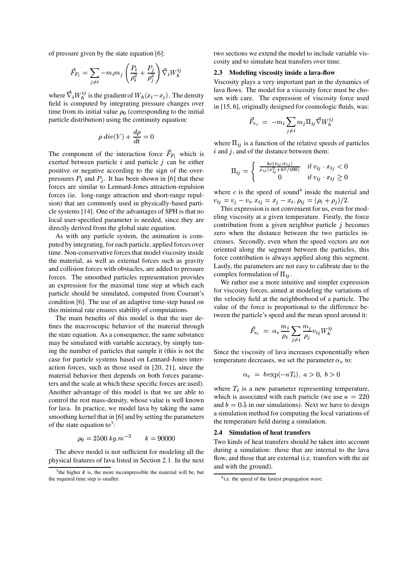of pressure given by the state equation [6]:

$$
\vec{F}_{P_i} = \sum_{j \neq i} -m_i m_j \left( \frac{P_i}{\rho_i^2} + \frac{P_j}{\rho_j^2} \right) \vec{\nabla}_i W_h^{ij}
$$

contract the contract of the contract of the contract of the contract of the contract of the contract of the contract of the contract of the contract of the contract of the contract of the contract of the contract of the c

where  $\vec{\nabla}_i W_h^{ij}$  is the gradient of  $W_h(x_i - x_j)$ . The density field is computed by integrating pressure changes over time from its initial value  $\rho_0$  (corresponding to the initial particle distribution) using the continuity equation:

$$
\rho \ div(V) + \frac{d\rho}{dt} = 0
$$

The component of the interaction force  $\vec{F}_{P_i}$  which is exerted between particle  $i$  and particle  $j$  can be either positive or negative according to the sign of the overpressures  $P_i$  and  $P_j$ . It has been shown in [6] that these forces are similar to Lennard-Jones attraction-repulsion forces (ie. long-range attraction and short-range repulsion) that are commonly used in physically-based particle systems [14]. One of the advantages of SPH is that no local user-specified parameter is needed, since they are directly derived from the global state equation.

As with any particle system, the animation is computed by integrating, for each particle, applied forces over time. Non-conservative forces that model viscosity inside the material, as well as external forces such as gravity and collision forces with obstacles, are added to pressure forces. The smoothed particles representation provides an expression for the maximal time step at which each particle should be simulated, computed from Courant's condition [6]. The use of an adaptive time-step based on this minimal rate ensures stability of computations.

The main benefits of this model is that the user defines the macroscopic behavior of the material through the state equation. As a consequence, the same substance may be simulated with variable accuracy, by simply tuning the number of particles that sample it (this is not the case for particle systems based on Lennard-Jones interaction forces, such as those used in [20, 21], since the material behavior then depends on both forces parameters and the scale at which these specific forces are used). Another advantage of this model is that we are able to control the rest mass-density, whose value is well known for lava. In practice, we model lava by taking the same smoothing kernel that in [6] and by setting the parameters of the state equation to<sup>3</sup>:

$$
\rho_0=2500\ ka.m^{-3}\quad \quad k=90000
$$

The above model is not sufficient for modeling all the physical features of lava listed in Section 2.1. In the next

two sections we extend the model to include variable viscosity and to simulate heat transfers over time.

#### **2.3 Modeling viscosity inside a lava-flow**

Viscosity plays a very important part in the dynamics of lava flows. The model for a viscosity force must be chosen with care. The expression of viscosity force used in [15, 6], originally designed for cosmologic fluids, was:

$$
\vec{F}_{v_i}~=~-m_i\sum_{j\neq i}m_j\Pi_{ij}\vec{\nabla}W_h^{ij}
$$

where  $\Pi_{ij}$  is a function of the relative speeds of particles  $i$  and  $j$ , and of the distance between them:

$$
\Pi_{ij} = \begin{cases}\n\frac{hc(v_{ij} \cdot x_{ij})}{\rho_{ij}(x_{ij}^2 + h^2/100)} & \text{if } v_{ij} \cdot x_{ij} < 0 \\
0 & \text{if } v_{ij} \cdot x_{ij} \ge 0\n\end{cases}
$$

where  $c$  is the speed of sound<sup>4</sup> inside the material and  $v_{ij} = v_j - v_i, x_{ij} = x_j - x_i, \rho_{ij} = (\rho_i + \rho_j)/2.$ 

This expression is not convenient for us, even for modeling viscosity at a given temperature. Firstly, the force contribution from a given neighbor particle  $i$  becomes zero when the distance between the two particles increases. Secondly, even when the speed vectors are not oriented along the segment between the particles, this force contribution is always applied along this segment. Lastly, the parameters are not easy to calibrate due to the complex formulation of  $\Pi_{ij}$ .

We rather use a more intuitive and simpler expression for viscosity forces, aimed at modeling the variations of the velocity field at the neighborhood of a particle. The value of the force is proportional to the difference between the particle's speed and the mean speed around it:

$$
\vec{F}_{v_i}~=~\alpha_v \frac{m_i}{\rho_i} \sum_{j \neq i} \frac{m_j}{\rho_j} v_{ij} W_h^{ij}
$$

Since the viscosity of lava increases exponentially when temperature decreases, we set the parameter  $\alpha_v$  to:

$$
\alpha_v = b \exp(-aT_i), \ a > 0, \ b > 0
$$

where  $T_i$  is a new parameter representing temperature, which is associated with each particle (we use  $a = 220$ and  $b=0.5$  in our simulations). Next we have to design a simulation method for computing the local variations of the temperature field during a simulation.

#### **2.4 Simulation of heat transfers**

Two kinds of heat transfers should be taken into account during a simulation: those that are internal to the lava flow, and those that are external (i.e. transfers with the air and with the ground).

<sup>&</sup>lt;sup>3</sup> the higher  $k$  is, the more incompressible the material will be, but the required time step is smaller.

<sup>&</sup>lt;sup>4</sup>i.e. the speed of the fastest propagation wave.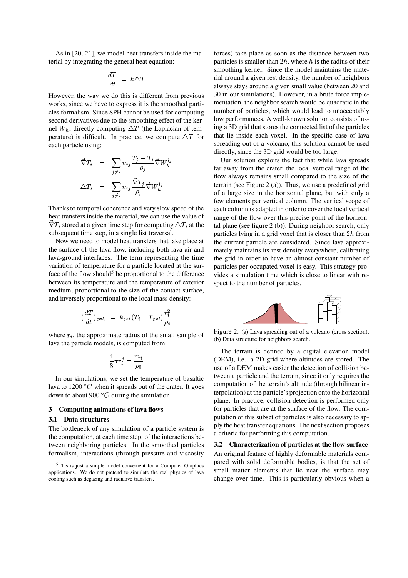As in [20, 21], we model heat transfers inside the material by integrating the general heat equation:

$$
\frac{dT}{dt} \; = \; k \triangle T
$$

However, the way we do this is different from previous works, since we have to express it is the smoothed particles formalism. Since SPH cannot be used for computing second derivatives due to the smoothing effect of the kernel  $W_h$ , directly computing  $\Delta T$  (the Laplacian of temperature) is difficult. In practice, we compute  $\Delta T$  for each particle using:

$$
\vec{\nabla}T_i = \sum_{j \neq i} m_j \frac{T_j - T_i}{\rho_j} \vec{\nabla}W_h^{ij}
$$

$$
\Delta T_i = \sum_{j \neq i} m_j \frac{\vec{\nabla}T_j}{\rho_j} \vec{\nabla}W_h^{ij}
$$

Thanks to temporal coherence and very slow speed of the heat transfers inside the material, we can use the value of  $\nabla T_i$  stored at a given time step for computing  $\Delta T_i$  at the subsequent time step, in a single list traversal.

Now we need to model heat transfers that take place at the surface of the lava flow, including both lava-air and lava-ground interfaces. The term representing the time variation of temperature for a particle located at the surface of the flow should<sup>5</sup> be proportional to the difference between its temperature and the temperature of exterior medium, proportional to the size of the contact surface, and inversely proportional to the local mass density:

$$
(\frac{dT}{dt})_{ext_i} = k_{ext}(T_i - T_{ext})\frac{r_i^2}{\rho_i}
$$

where  $r_i$ , the approximate radius of the small sample of lava the particle models, is computed from:

$$
\frac{4}{3}\pi r_i^3=\frac{m_i}{\rho_0}
$$

In our simulations, we set the temperature of basaltic lava to 1200  $\degree$ C when it spreads out of the crater. It goes down to about 900  $\degree C$  during the simulation.

#### **3 Computing animations of lava flows**

#### **3.1 Data structures**

The bottleneck of any simulation of a particle system is the computation, at each time step, of the interactions between neighboring particles. In the smoothed particles formalism, interactions (through pressure and viscosity forces) take place as soon as the distance between two particles is smaller than  $2h$ , where  $h$  is the radius of their smoothing kernel. Since the model maintains the material around a given rest density, the number of neighbors always stays around a given small value (between 20 and 30 in our simulations). However, in a brute force implementation, the neighbor search would be quadratic in the number of particles, which would lead to unacceptably low performances. A well-known solution consists of using a 3D grid that stores the connected list of the particles that lie inside each voxel. In the specific case of lava spreading out of a volcano, this solution cannot be used directly, since the 3D grid would be too large.

Our solution exploits the fact that while lava spreads far away from the crater, the local vertical range of the flow always remains small compared to the size of the terrain (see Figure 2 (a)). Thus, we use a predefined grid of a large size in the horizontal plane, but with only a few elements per vertical column. The vertical scope of each column is adapted in order to cover the local vertical range of the flow over this precise point of the horizontal plane (see figure 2 (b)). During neighbor search, only particles lying in a grid voxel that is closer than  $2h$  from the current particle are considered. Since lava approximately maintains its rest density everywhere, calibrating the grid in order to have an almost constant number of particles per occupated voxel is easy. This strategy provides a simulation time which is close to linear with respect to the number of particles.



Figure 2: (a) Lava spreading out of a volcano (cross section). (b) Data structure for neighbors search.

The terrain is defined by a digital elevation model (DEM), i.e. a 2D grid where altitudes are stored. The use of a DEM makes easier the detection of collision between a particle and the terrain, since it only requires the computation of the terrain's altitude (through bilinear interpolation) at the particle's projection onto the horizontal plane. In practice, collision detection is performed only for particles that are at the surface of the flow. The computation of this subset of particles is also necessary to apply the heat transfer equations. The next section proposes a criteria for performing this computation.

**3.2 Characterization of particles at the flow surface** An original feature of highly deformable materials compared with solid deformable bodies, is that the set of small matter elements that lie near the surface may change over time. This is particularly obvious when a

<sup>&</sup>lt;sup>5</sup>This is just a simple model convenient for a Computer Graphics applications. We do not pretend to simulate the real physics of lava cooling such as degazing and radiative transfers.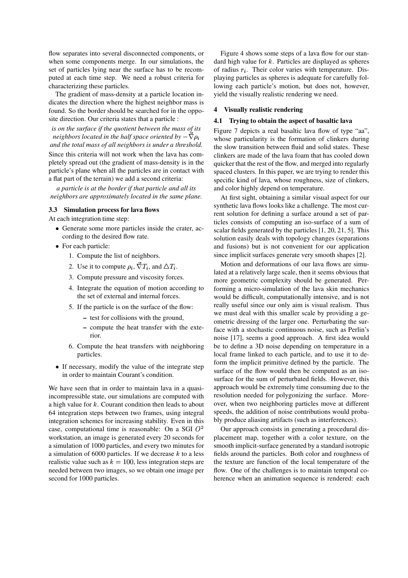flow separates into several disconnected components, or when some components merge. In our simulations, the set of particles lying near the surface has to be recomputed at each time step. We need a robust criteria for characterizing these particles.

The gradient of mass-density at a particle location indicates the direction where the highest neighbor mass is found. So the border should be searched for in the opposite direction. Our criteria states that a particle :

*is on the surface if the quotient between the mass of its neighbors located in the half space oriented*  $by -\nabla \rho_i$ *and the total mass of all neighbors is under a threshold.* Since this criteria will not work when the lava has completely spread out (the gradient of mass-density is in the particle's plane when all the particles are in contact with a flat part of the terrain) we add a second criteria:

*a particle is at the border if that particle and all its neighbors are approximately located in the same plane.*

#### **3.3 Simulation process for lava flows**

At each integration time step:

- ? Generate some more particles inside the crater, according to the desired flow rate.
- For each particle:
	- 1. Compute the list of neighbors.
	- 2. Use it to compute  $\rho_i$ ,  $\vec{\nabla} T_i$ , and  $\Delta T_i$ .
	- 3. Compute pressure and viscosity forces.
	- 4. Integrate the equation of motion according to the set of external and internal forces.
	- 5. If the particle is on the surface of the flow:
		- **–** test for collisions with the ground,
		- **–** compute the heat transfer with the exterior.
	- 6. Compute the heat transfers with neighboring particles.
- ? If necessary, modify the value of the integrate step in order to maintain Courant's condition.

We have seen that in order to maintain lava in a quasiincompressible state, our simulations are computed with a high value for  $k$ . Courant condition then leads to about 64 integration steps between two frames, using integral integration schemes for increasing stability. Even in this case, computational time is reasonable: On a SGI  $\mathcal{O}^2$ workstation, an image is generated every 20 seconds for a simulation of 1000 particles, and every two minutes for a simulation of 6000 particles. If we decrease  $k$  to a less realistic value such as  $k = 100$ , less integration steps are needed between two images, so we obtain one image per second for 1000 particles.

Figure 4 shows some steps of a lava flow for our standard high value for  $k$ . Particles are displayed as spheres of radius  $r_i$ . Their color varies with temperature. Displaying particles as spheres is adequate for carefully following each particle's motion, but does not, however, yield the visually realistic rendering we need.

#### **4 Visually realistic rendering**

#### **4.1 Trying to obtain the aspect of basaltic lava**

Figure 7 depicts a real basaltic lava flow of type "aa", whose particularity is the formation of clinkers during the slow transition between fluid and solid states. These clinkers are made of the lava foam that has cooled down quicker that the rest of the flow, and merged into regularly spaced clusters. In this paper, we are trying to render this specific kind of lava, whose roughness, size of clinkers, and color highly depend on temperature.

At first sight, obtaining a similar visual aspect for our synthetic lava flows looks like a challenge. The most current solution for defining a surface around a set of particles consists of computing an iso-surface of a sum of scalar fields generated by the particles [1, 20, 21, 5]. This solution easily deals with topology changes (separations and fusions) but is not convenient for our application since implicit surfaces generate very smooth shapes [2].

Motion and deformations of our lava flows are simulated at a relatively large scale, then it seems obvious that more geometric complexity should be generated. Performing a micro-simulation of the lava skin mechanics would be difficult, computationally intensive, and is not really useful since our only aim is visual realism. Thus we must deal with this smaller scale by providing a geometric dressing of the larger one. Perturbating the surface with a stochastic continuous noise, such as Perlin's noise [17], seems a good approach. A first idea would be to define a 3D noise depending on temperature in a local frame linked to each particle, and to use it to deform the implicit primitive defined by the particle. The surface of the flow would then be computed as an isosurface for the sum of perturbated fields. However, this approach would be extremely time consuming due to the resolution needed for polygonizing the surface. Moreover, when two neighboring particles move at different speeds, the addition of noise contributions would probably produce aliasing artifacts (such as interferences).

Our approach consists in generating a procedural displacement map, together with a color texture, on the smooth implicit-surface generated by a standard isotropic fields around the particles. Both color and roughness of the texture are function of the local temperature of the flow. One of the challenges is to maintain temporal coherence when an animation sequence is rendered: each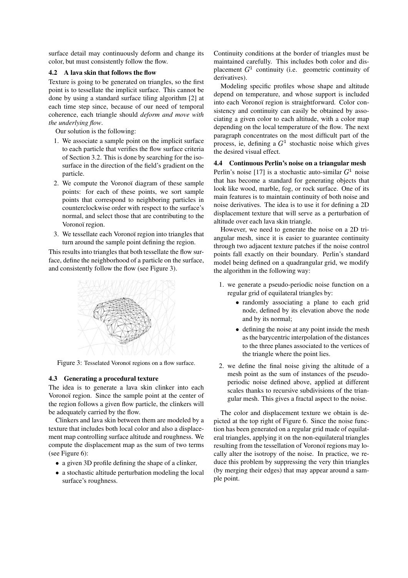surface detail may continuously deform and change its color, but must consistently follow the flow.

#### **4.2 A lava skin that follows the flow**

Texture is going to be generated on triangles, so the first point is to tessellate the implicit surface. This cannot be done by using a standard surface tiling algorithm [2] at each time step since, because of our need of temporal coherence, each triangle should *deform and move with the underlying flow*.

Our solution is the following:

- 1. We associate a sample point on the implicit surface to each particle that verifies the flow surface criteria of Section 3.2. This is done by searching for the isosurface in the direction of the field's gradient on the particle.
- 2. We compute the Voronoï diagram of these sample points: for each of these points, we sort sample points that correspond to neighboring particles in counterclockwise order with respect to the surface's normal, and select those that are contributing to the Voronoï region.
- 3. We tessellate each Voronoï region into triangles that turn around the sample point defining the region.

This results into triangles that both tessellate the flow surface, define the neighborhood of a particle on the surface, and consistently follow the flow (see Figure 3).



Figure 3: Tesselated Voronoï regions on a flow surface.

#### **4.3 Generating a procedural texture**

The idea is to generate a lava skin clinker into each Voronoï region. Since the sample point at the center of the region follows a given flow particle, the clinkers will be adequately carried by the flow.

Clinkers and lava skin between them are modeled by a texture that includes both local color and also a displacement map controlling surface altitude and roughness. We compute the displacement map as the sum of two terms (see Figure 6):

- a given 3D profile defining the shape of a clinker,
- ? a stochastic altitude perturbation modeling the local surface's roughness.

Continuity conditions at the border of triangles must be maintained carefully. This includes both color and dis placement  $G<sup>1</sup>$  continuity (i.e. geometric continuity of derivatives).

Modeling specific profiles whose shape and altitude depend on temperature, and whose support is included into each Voronoï region is straightforward. Color consistency and continuity can easily be obtained by associating a given color to each altitude, with a color map depending on the local temperature of the flow. The next paragraph concentrates on the most difficult part of the process, ie, defining a  $G<sup>1</sup>$  stochastic noise which gives the desired visual effect.

#### **4.4 Continuous Perlin's noise on a triangular mesh**

Perlin's noise [17] is a stochastic auto-similar  $G<sup>1</sup>$  noise that has become a standard for generating objects that look like wood, marble, fog, or rock surface. One of its main features is to maintain continuity of both noise and noise derivatives. The idea is to use it for defining a 2D displacement texture that will serve as a perturbation of altitude over each lava skin triangle.

However, we need to generate the noise on a 2D triangular mesh, since it is easier to guarantee continuity through two adjacent texture patches if the noise control points fall exactly on their boundary. Perlin's standard model being defined on a quadrangular grid, we modify the algorithm in the following way:

- 1. we generate a pseudo-periodic noise function on a regular grid of equilateral triangles by:
	- ? randomly associating a plane to each grid node, defined by its elevation above the node and by its normal;
	- ? defining the noise at any point inside the mesh as the barycentric interpolation of the distances to the three planes associated to the vertices of the triangle where the point lies.
- 2. we define the final noise giving the altitude of a mesh point as the sum of instances of the pseudoperiodic noise defined above, applied at different scales thanks to recursive subdivisions of the triangular mesh. This gives a fractal aspect to the noise.

The color and displacement texture we obtain is depicted at the top right of Figure 6. Since the noise function has been generated on a regular grid made of equilateral triangles, applying it on the non-equilateral triangles resulting from the tessellation of Voronoï regions may locally alter the isotropy of the noise. In practice, we reduce this problem by suppressing the very thin triangles (by merging their edges) that may appear around a sample point.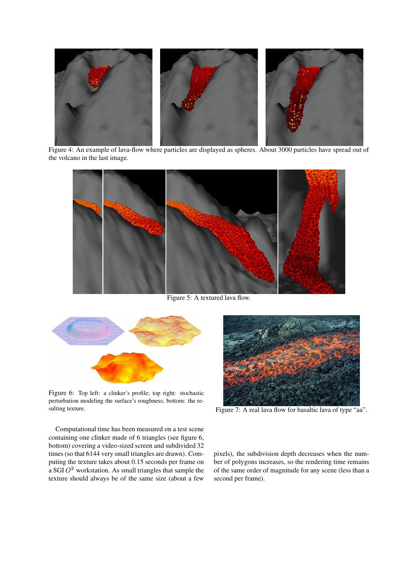

Figure 4: An example of lava-flow where particles are displayed as spheres. About 3000 particles have spread out of the volcano in the last image.



Figure 5: A textured lava flow.



Figure 6: Top left: a clinker's profile; top right: stochastic perturbation modeling the surface's roughness; bottom: the resulting texture.

Computational time has been measured on a test scene containing one clinker made of 6 triangles (see figure 6, bottom) covering a video-sized screen and subdivided 32 times (so that 6144 very small triangles are drawn). Computing the texture takes about 0.15 seconds per frame on a SGI  $O^2$  workstation. As small triangles that sample the texture should always be of the same size (about a few



Figure 7: A real lava flow for basaltic lava of type "aa".

pixels), the subdivision depth decreases when the number of polygons increases, so the rendering time remains of the same order of magnitude for any scene (less than a second per frame).